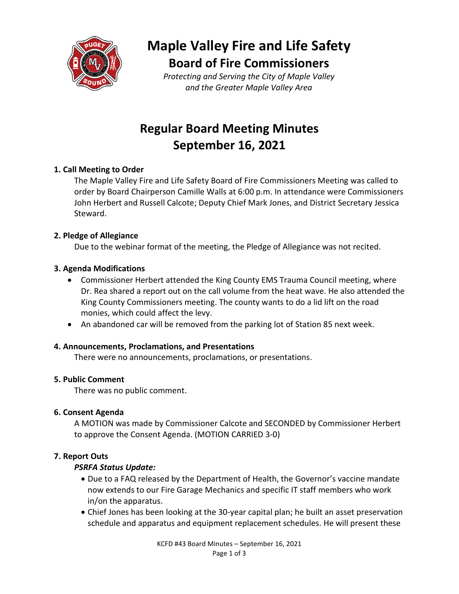

# **Maple Valley Fire and Life Safety Board of Fire Commissioners**

*Protecting and Serving the City of Maple Valley and the Greater Maple Valley Area*

## **Regular Board Meeting Minutes September 16, 2021**

## **1. Call Meeting to Order**

The Maple Valley Fire and Life Safety Board of Fire Commissioners Meeting was called to order by Board Chairperson Camille Walls at 6:00 p.m. In attendance were Commissioners John Herbert and Russell Calcote; Deputy Chief Mark Jones, and District Secretary Jessica Steward.

## **2. Pledge of Allegiance**

Due to the webinar format of the meeting, the Pledge of Allegiance was not recited.

## **3. Agenda Modifications**

- Commissioner Herbert attended the King County EMS Trauma Council meeting, where Dr. Rea shared a report out on the call volume from the heat wave. He also attended the King County Commissioners meeting. The county wants to do a lid lift on the road monies, which could affect the levy.
- An abandoned car will be removed from the parking lot of Station 85 next week.

## **4. Announcements, Proclamations, and Presentations**

There were no announcements, proclamations, or presentations.

## **5. Public Comment**

There was no public comment.

## **6. Consent Agenda**

A MOTION was made by Commissioner Calcote and SECONDED by Commissioner Herbert to approve the Consent Agenda. (MOTION CARRIED 3-0)

## **7. Report Outs**

## *PSRFA Status Update:*

- Due to a FAQ released by the Department of Health, the Governor's vaccine mandate now extends to our Fire Garage Mechanics and specific IT staff members who work in/on the apparatus.
- Chief Jones has been looking at the 30-year capital plan; he built an asset preservation schedule and apparatus and equipment replacement schedules. He will present these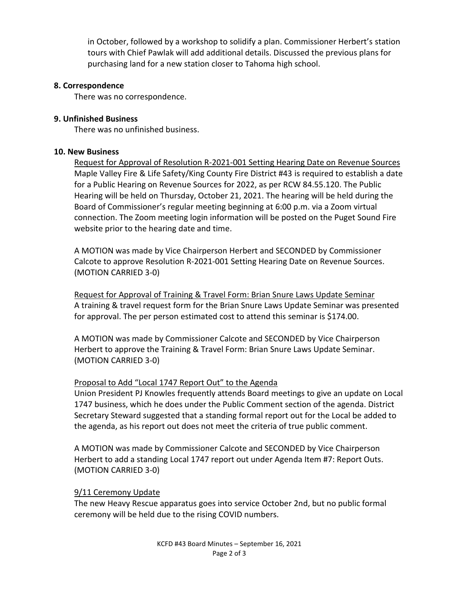in October, followed by a workshop to solidify a plan. Commissioner Herbert's station tours with Chief Pawlak will add additional details. Discussed the previous plans for purchasing land for a new station closer to Tahoma high school.

#### **8. Correspondence**

There was no correspondence.

#### **9. Unfinished Business**

There was no unfinished business.

#### **10. New Business**

Request for Approval of Resolution R-2021-001 Setting Hearing Date on Revenue Sources Maple Valley Fire & Life Safety/King County Fire District #43 is required to establish a date for a Public Hearing on Revenue Sources for 2022, as per RCW 84.55.120. The Public Hearing will be held on Thursday, October 21, 2021. The hearing will be held during the Board of Commissioner's regular meeting beginning at 6:00 p.m. via a Zoom virtual connection. The Zoom meeting login information will be posted on the Puget Sound Fire website prior to the hearing date and time.

A MOTION was made by Vice Chairperson Herbert and SECONDED by Commissioner Calcote to approve Resolution R-2021-001 Setting Hearing Date on Revenue Sources. (MOTION CARRIED 3-0)

Request for Approval of Training & Travel Form: Brian Snure Laws Update Seminar A training & travel request form for the Brian Snure Laws Update Seminar was presented for approval. The per person estimated cost to attend this seminar is \$174.00.

A MOTION was made by Commissioner Calcote and SECONDED by Vice Chairperson Herbert to approve the Training & Travel Form: Brian Snure Laws Update Seminar. (MOTION CARRIED 3-0)

## Proposal to Add "Local 1747 Report Out" to the Agenda

Union President PJ Knowles frequently attends Board meetings to give an update on Local 1747 business, which he does under the Public Comment section of the agenda. District Secretary Steward suggested that a standing formal report out for the Local be added to the agenda, as his report out does not meet the criteria of true public comment.

A MOTION was made by Commissioner Calcote and SECONDED by Vice Chairperson Herbert to add a standing Local 1747 report out under Agenda Item #7: Report Outs. (MOTION CARRIED 3-0)

## 9/11 Ceremony Update

The new Heavy Rescue apparatus goes into service October 2nd, but no public formal ceremony will be held due to the rising COVID numbers.